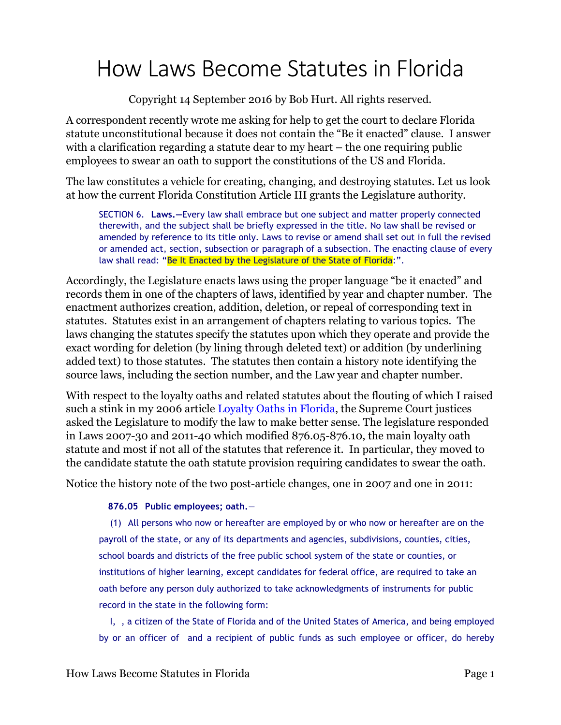## How Laws Become Statutes in Florida

Copyright 14 September 2016 by Bob Hurt. All rights reserved.

A correspondent recently wrote me asking for help to get the court to declare Florida statute unconstitutional because it does not contain the "Be it enacted" clause. I answer with a clarification regarding a statute dear to my heart – the one requiring public employees to swear an oath to support the constitutions of the US and Florida.

The law constitutes a vehicle for creating, changing, and destroying statutes. Let us look at how the current Florida Constitution Article III grants the Legislature authority.

SECTION 6. **Laws.—**Every law shall embrace but one subject and matter properly connected therewith, and the subject shall be briefly expressed in the title. No law shall be revised or amended by reference to its title only. Laws to revise or amend shall set out in full the revised or amended act, section, subsection or paragraph of a subsection. The enacting clause of every law shall read: "Be It Enacted by the Legislature of the State of Florida:".

Accordingly, the Legislature enacts laws using the proper language "be it enacted" and records them in one of the chapters of laws, identified by year and chapter number. The enactment authorizes creation, addition, deletion, or repeal of corresponding text in statutes. Statutes exist in an arrangement of chapters relating to various topics. The laws changing the statutes specify the statutes upon which they operate and provide the exact wording for deletion (by lining through deleted text) or addition (by underlining added text) to those statutes. The statutes then contain a history note identifying the source laws, including the section number, and the Law year and chapter number.

With respect to the loyalty oaths and related statutes about the flouting of which I raised such a stink in my 2006 article **Loyalty Oaths in Florida**, the Supreme Court justices asked the Legislature to modify the law to make better sense. The legislature responded in Laws 2007-30 and 2011-40 which modified 876.05-876.10, the main loyalty oath statute and most if not all of the statutes that reference it. In particular, they moved to the candidate statute the oath statute provision requiring candidates to swear the oath.

Notice the history note of the two post-article changes, one in 2007 and one in 2011:

## **876.05 Public employees; oath.**—

(1) All persons who now or hereafter are employed by or who now or hereafter are on the payroll of the state, or any of its departments and agencies, subdivisions, counties, cities, school boards and districts of the free public school system of the state or counties, or institutions of higher learning, except candidates for federal office, are required to take an oath before any person duly authorized to take acknowledgments of instruments for public record in the state in the following form:

I, , a citizen of the State of Florida and of the United States of America, and being employed by or an officer of and a recipient of public funds as such employee or officer, do hereby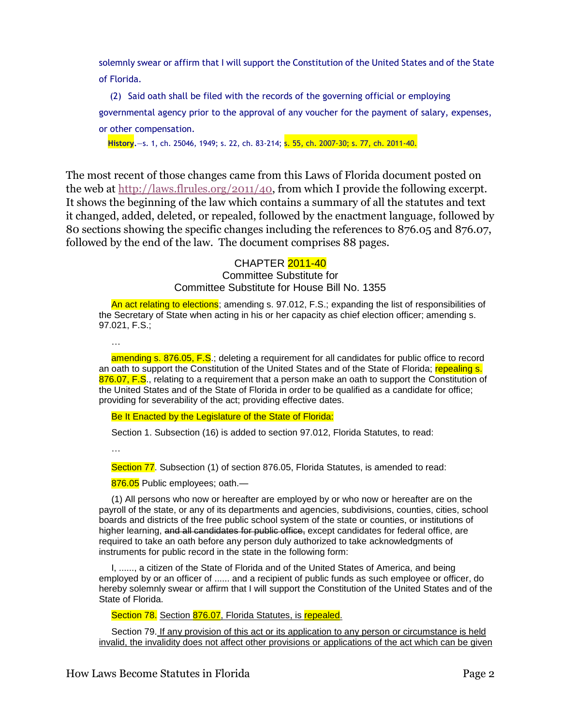solemnly swear or affirm that I will support the Constitution of the United States and of the State of Florida.

(2) Said oath shall be filed with the records of the governing official or employing governmental agency prior to the approval of any voucher for the payment of salary, expenses, or other compensation.

**History.**—s. 1, ch. 25046, 1949; s. 22, ch. 83-214; s. 55, ch. 2007-30; s. 77, ch. 2011-40.

The most recent of those changes came from this Laws of Florida document posted on the web at [http://laws.flrules.org/2011/40,](http://laws.flrules.org/2011/40) from which I provide the following excerpt. It shows the beginning of the law which contains a summary of all the statutes and text it changed, added, deleted, or repealed, followed by the enactment language, followed by 80 sections showing the specific changes including the references to 876.05 and 876.07, followed by the end of the law. The document comprises 88 pages.

## CHAPTER 2011-40

Committee Substitute for Committee Substitute for House Bill No. 1355

An act relating to elections; amending s. 97.012, F.S.; expanding the list of responsibilities of the Secretary of State when acting in his or her capacity as chief election officer; amending s. 97.021, F.S.;

…

amending s. 876.05, F.S.; deleting a requirement for all candidates for public office to record an oath to support the Constitution of the United States and of the State of Florida; repealing s. 876.07, F.S., relating to a requirement that a person make an oath to support the Constitution of the United States and of the State of Florida in order to be qualified as a candidate for office; providing for severability of the act; providing effective dates.

Be It Enacted by the Legislature of the State of Florida:

Section 1. Subsection (16) is added to section 97.012, Florida Statutes, to read:

…

Section 77. Subsection (1) of section 876.05, Florida Statutes, is amended to read:

876.05 Public employees; oath.—

(1) All persons who now or hereafter are employed by or who now or hereafter are on the payroll of the state, or any of its departments and agencies, subdivisions, counties, cities, school boards and districts of the free public school system of the state or counties, or institutions of higher learning, and all candidates for public office, except candidates for federal office, are required to take an oath before any person duly authorized to take acknowledgments of instruments for public record in the state in the following form:

I, ......, a citizen of the State of Florida and of the United States of America, and being employed by or an officer of ...... and a recipient of public funds as such employee or officer, do hereby solemnly swear or affirm that I will support the Constitution of the United States and of the State of Florida.

Section 78. Section 876.07, Florida Statutes, is repealed.

Section 79. If any provision of this act or its application to any person or circumstance is held invalid, the invalidity does not affect other provisions or applications of the act which can be given